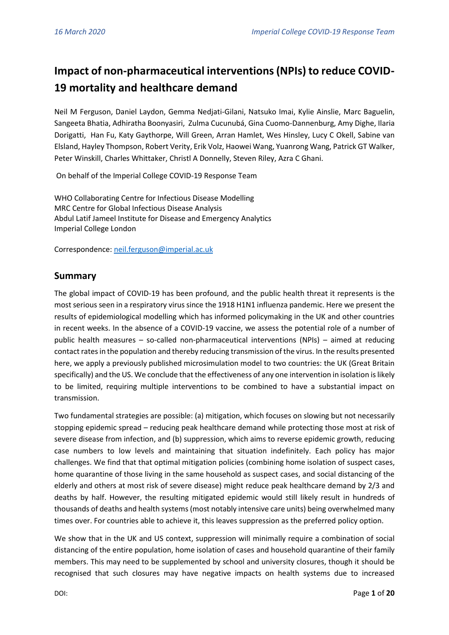# **Impact of non-pharmaceutical interventions (NPIs) to reduce COVID-19 mortality and healthcare demand**

Neil M Ferguson, Daniel Laydon, Gemma Nedjati-Gilani, Natsuko Imai, Kylie Ainslie, Marc Baguelin, Sangeeta Bhatia, Adhiratha Boonyasiri, Zulma Cucunubá, Gina Cuomo-Dannenburg, Amy Dighe, Ilaria Dorigatti, Han Fu, Katy Gaythorpe, Will Green, Arran Hamlet, Wes Hinsley, Lucy C Okell, Sabine van Elsland, Hayley Thompson, Robert Verity, Erik Volz, Haowei Wang, Yuanrong Wang, Patrick GT Walker, Peter Winskill, Charles Whittaker, Christl A Donnelly, Steven Riley, Azra C Ghani.

On behalf of the Imperial College COVID-19 Response Team

WHO Collaborating Centre for Infectious Disease Modelling MRC Centre for Global Infectious Disease Analysis Abdul Latif Jameel Institute for Disease and Emergency Analytics Imperial College London

Correspondence: [neil.ferguson@imperial.ac.uk](mailto:neil.ferguson@imperial.ac.uk)

## **Summary**

The global impact of COVID-19 has been profound, and the public health threat it represents is the most serious seen in a respiratory virus since the 1918 H1N1 influenza pandemic. Here we present the results of epidemiological modelling which has informed policymaking in the UK and other countries in recent weeks. In the absence of a COVID-19 vaccine, we assess the potential role of a number of public health measures – so-called non-pharmaceutical interventions (NPIs) – aimed at reducing contact rates in the population and thereby reducing transmission of the virus. In the results presented here, we apply a previously published microsimulation model to two countries: the UK (Great Britain specifically) and the US. We conclude that the effectiveness of any one intervention in isolation is likely to be limited, requiring multiple interventions to be combined to have a substantial impact on transmission.

Two fundamental strategies are possible: (a) mitigation, which focuses on slowing but not necessarily stopping epidemic spread – reducing peak healthcare demand while protecting those most at risk of severe disease from infection, and (b) suppression, which aims to reverse epidemic growth, reducing case numbers to low levels and maintaining that situation indefinitely. Each policy has major challenges. We find that that optimal mitigation policies (combining home isolation of suspect cases, home quarantine of those living in the same household as suspect cases, and social distancing of the elderly and others at most risk of severe disease) might reduce peak healthcare demand by 2/3 and deaths by half. However, the resulting mitigated epidemic would still likely result in hundreds of thousands of deaths and health systems (most notably intensive care units) being overwhelmed many times over. For countries able to achieve it, this leaves suppression as the preferred policy option.

We show that in the UK and US context, suppression will minimally require a combination of social distancing of the entire population, home isolation of cases and household quarantine of their family members. This may need to be supplemented by school and university closures, though it should be recognised that such closures may have negative impacts on health systems due to increased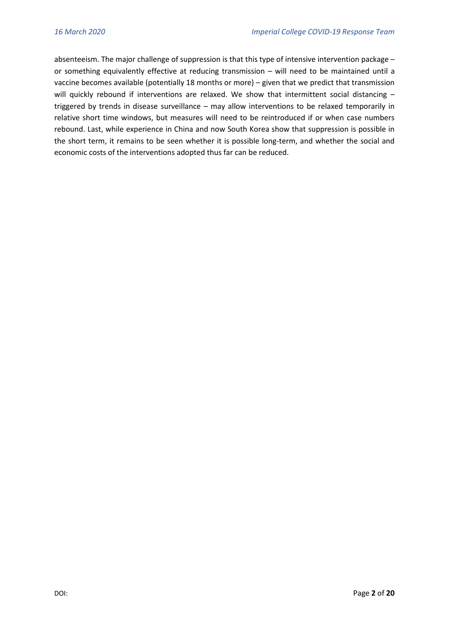absenteeism. The major challenge of suppression is that this type of intensive intervention package – or something equivalently effective at reducing transmission – will need to be maintained until a vaccine becomes available (potentially 18 months or more) – given that we predict that transmission will quickly rebound if interventions are relaxed. We show that intermittent social distancing triggered by trends in disease surveillance – may allow interventions to be relaxed temporarily in relative short time windows, but measures will need to be reintroduced if or when case numbers rebound. Last, while experience in China and now South Korea show that suppression is possible in the short term, it remains to be seen whether it is possible long-term, and whether the social and economic costs of the interventions adopted thus far can be reduced.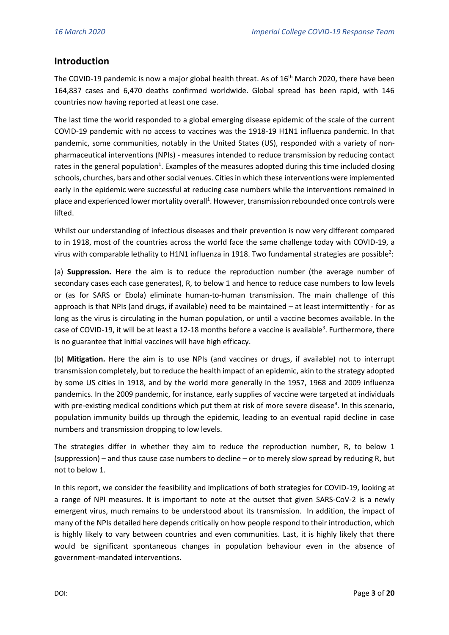## **Introduction**

The COVID-19 pandemic is now a major global health threat. As of 16<sup>th</sup> March 2020, there have been 164,837 cases and 6,470 deaths confirmed worldwide. Global spread has been rapid, with 146 countries now having reported at least one case.

The last time the world responded to a global emerging disease epidemic of the scale of the current COVID-19 pandemic with no access to vaccines was the 1918-19 H1N1 influenza pandemic. In that pandemic, some communities, notably in the United States (US), responded with a variety of nonpharmaceutical interventions (NPIs) - measures intended to reduce transmission by reducing contact rates in the general population<sup>1</sup>. Examples of the measures adopted during this time included closing schools, churches, bars and other social venues. Cities in which these interventions were implemented early in the epidemic were successful at reducing case numbers while the interventions remained in place and experienced lower mortality overall<sup>1</sup>. However, transmission rebounded once controls were lifted.

Whilst our understanding of infectious diseases and their prevention is now very different compared to in 1918, most of the countries across the world face the same challenge today with COVID-19, a virus with comparable lethality to H1N1 influenza in 1918. Two fundamental strategies are possible<sup>2</sup>:

(a) **Suppression.** Here the aim is to reduce the reproduction number (the average number of secondary cases each case generates), R, to below 1 and hence to reduce case numbers to low levels or (as for SARS or Ebola) eliminate human-to-human transmission. The main challenge of this approach is that NPIs (and drugs, if available) need to be maintained – at least intermittently - for as long as the virus is circulating in the human population, or until a vaccine becomes available. In the case of COVID-19, it will be at least a 12-18 months before a vaccine is available<sup>3</sup>. Furthermore, there is no guarantee that initial vaccines will have high efficacy.

(b) **Mitigation.** Here the aim is to use NPIs (and vaccines or drugs, if available) not to interrupt transmission completely, but to reduce the health impact of an epidemic, akin to the strategy adopted by some US cities in 1918, and by the world more generally in the 1957, 1968 and 2009 influenza pandemics. In the 2009 pandemic, for instance, early supplies of vaccine were targeted at individuals with pre-existing medical conditions which put them at risk of more severe disease<sup>4</sup>. In this scenario, population immunity builds up through the epidemic, leading to an eventual rapid decline in case numbers and transmission dropping to low levels.

The strategies differ in whether they aim to reduce the reproduction number, R, to below 1 (suppression) – and thus cause case numbers to decline – or to merely slow spread by reducing R, but not to below 1.

In this report, we consider the feasibility and implications of both strategies for COVID-19, looking at a range of NPI measures. It is important to note at the outset that given SARS-CoV-2 is a newly emergent virus, much remains to be understood about its transmission. In addition, the impact of many of the NPIs detailed here depends critically on how people respond to their introduction, which is highly likely to vary between countries and even communities. Last, it is highly likely that there would be significant spontaneous changes in population behaviour even in the absence of government-mandated interventions.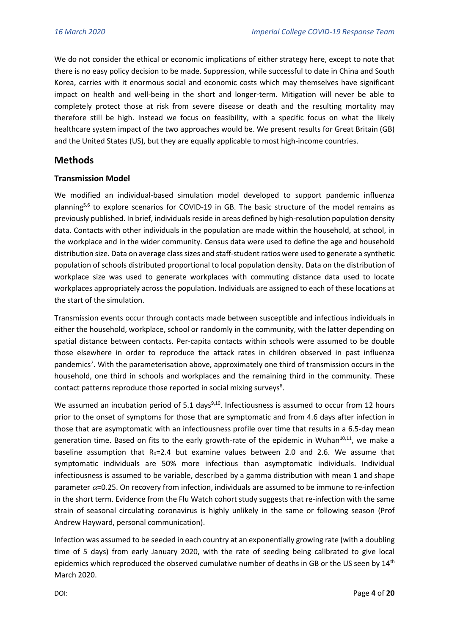We do not consider the ethical or economic implications of either strategy here, except to note that there is no easy policy decision to be made. Suppression, while successful to date in China and South Korea, carries with it enormous social and economic costs which may themselves have significant impact on health and well-being in the short and longer-term. Mitigation will never be able to completely protect those at risk from severe disease or death and the resulting mortality may therefore still be high. Instead we focus on feasibility, with a specific focus on what the likely healthcare system impact of the two approaches would be. We present results for Great Britain (GB) and the United States (US), but they are equally applicable to most high-income countries.

## **Methods**

#### **Transmission Model**

We modified an individual-based simulation model developed to support pandemic influenza planning<sup>5,6</sup> to explore scenarios for COVID-19 in GB. The basic structure of the model remains as previously published. In brief, individuals reside in areas defined by high-resolution population density data. Contacts with other individuals in the population are made within the household, at school, in the workplace and in the wider community. Census data were used to define the age and household distribution size. Data on average class sizes and staff-student ratios were used to generate a synthetic population of schools distributed proportional to local population density. Data on the distribution of workplace size was used to generate workplaces with commuting distance data used to locate workplaces appropriately across the population. Individuals are assigned to each of these locations at the start of the simulation.

Transmission events occur through contacts made between susceptible and infectious individuals in either the household, workplace, school or randomly in the community, with the latter depending on spatial distance between contacts. Per-capita contacts within schools were assumed to be double those elsewhere in order to reproduce the attack rates in children observed in past influenza pandemics<sup>7</sup>. With the parameterisation above, approximately one third of transmission occurs in the household, one third in schools and workplaces and the remaining third in the community. These contact patterns reproduce those reported in social mixing surveys<sup>8</sup>.

We assumed an incubation period of 5.1 days<sup>9,10</sup>. Infectiousness is assumed to occur from 12 hours prior to the onset of symptoms for those that are symptomatic and from 4.6 days after infection in those that are asymptomatic with an infectiousness profile over time that results in a 6.5-day mean generation time. Based on fits to the early growth-rate of the epidemic in Wuhan<sup>10,11</sup>, we make a baseline assumption that  $R_0 = 2.4$  but examine values between 2.0 and 2.6. We assume that symptomatic individuals are 50% more infectious than asymptomatic individuals. Individual infectiousness is assumed to be variable, described by a gamma distribution with mean 1 and shape parameter  $\alpha$ =0.25. On recovery from infection, individuals are assumed to be immune to re-infection in the short term. Evidence from the Flu Watch cohort study suggests that re-infection with the same strain of seasonal circulating coronavirus is highly unlikely in the same or following season (Prof Andrew Hayward, personal communication).

Infection was assumed to be seeded in each country at an exponentially growing rate (with a doubling time of 5 days) from early January 2020, with the rate of seeding being calibrated to give local epidemics which reproduced the observed cumulative number of deaths in GB or the US seen by 14<sup>th</sup> March 2020.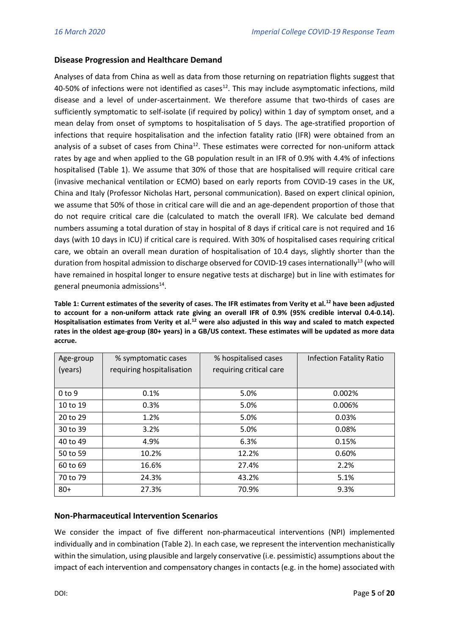#### **Disease Progression and Healthcare Demand**

Analyses of data from China as well as data from those returning on repatriation flights suggest that 40-50% of infections were not identified as cases<sup>12</sup>. This may include asymptomatic infections, mild disease and a level of under-ascertainment. We therefore assume that two-thirds of cases are sufficiently symptomatic to self-isolate (if required by policy) within 1 day of symptom onset, and a mean delay from onset of symptoms to hospitalisation of 5 days. The age-stratified proportion of infections that require hospitalisation and the infection fatality ratio (IFR) were obtained from an analysis of a subset of cases from China<sup>12</sup>. These estimates were corrected for non-uniform attack rates by age and when applied to the GB population result in an IFR of 0.9% with 4.4% of infections hospitalised (Table 1). We assume that 30% of those that are hospitalised will require critical care (invasive mechanical ventilation or ECMO) based on early reports from COVID-19 cases in the UK, China and Italy (Professor Nicholas Hart, personal communication). Based on expert clinical opinion, we assume that 50% of those in critical care will die and an age-dependent proportion of those that do not require critical care die (calculated to match the overall IFR). We calculate bed demand numbers assuming a total duration of stay in hospital of 8 days if critical care is not required and 16 days (with 10 days in ICU) if critical care is required. With 30% of hospitalised cases requiring critical care, we obtain an overall mean duration of hospitalisation of 10.4 days, slightly shorter than the duration from hospital admission to discharge observed for COVID-19 cases internationally<sup>13</sup> (who will have remained in hospital longer to ensure negative tests at discharge) but in line with estimates for general pneumonia admissions<sup>14</sup>.

**Table 1: Current estimates of the severity of cases. The IFR estimates from Verity et al.<sup>12</sup> have been adjusted to account for a non-uniform attack rate giving an overall IFR of 0.9% (95% credible interval 0.4-0.14). Hospitalisation estimates from Verity et al.<sup>12</sup> were also adjusted in this way and scaled to match expected rates in the oldest age-group (80+ years) in a GB/US context. These estimates will be updated as more data accrue.** 

| Age-group         | % symptomatic cases       | % hospitalised cases    | <b>Infection Fatality Ratio</b> |  |  |
|-------------------|---------------------------|-------------------------|---------------------------------|--|--|
| (years)           | requiring hospitalisation | requiring critical care |                                 |  |  |
|                   |                           |                         |                                 |  |  |
| 0 <sub>to</sub> 9 | 0.1%                      | 5.0%                    | 0.002%                          |  |  |
| 10 to 19          | 0.3%                      | 5.0%                    | 0.006%                          |  |  |
| 20 to 29          | 1.2%                      | 5.0%                    | 0.03%                           |  |  |
| 30 to 39          | 3.2%                      | 5.0%                    | 0.08%                           |  |  |
| 40 to 49          | 4.9%                      | 6.3%                    | 0.15%                           |  |  |
| 50 to 59          | 10.2%                     | 12.2%                   | 0.60%                           |  |  |
| 60 to 69          | 16.6%                     | 27.4%                   | 2.2%                            |  |  |
| 70 to 79          | 24.3%                     | 43.2%                   | 5.1%                            |  |  |
| $80+$             | 27.3%                     | 70.9%                   | 9.3%                            |  |  |

#### **Non-Pharmaceutical Intervention Scenarios**

We consider the impact of five different non-pharmaceutical interventions (NPI) implemented individually and in combination (Table 2). In each case, we represent the intervention mechanistically within the simulation, using plausible and largely conservative (i.e. pessimistic) assumptions about the impact of each intervention and compensatory changes in contacts (e.g. in the home) associated with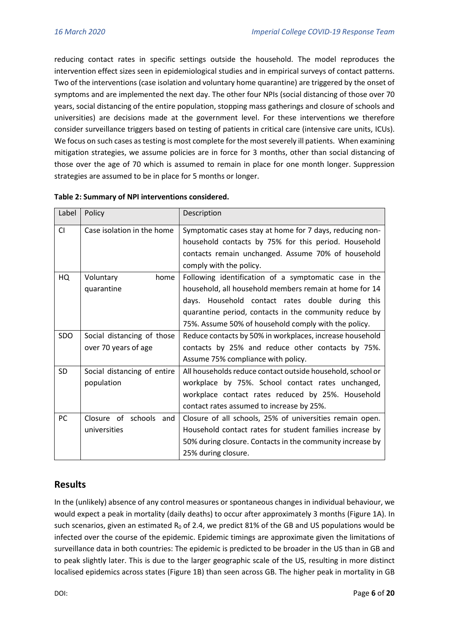reducing contact rates in specific settings outside the household. The model reproduces the intervention effect sizes seen in epidemiological studies and in empirical surveys of contact patterns. Two of the interventions (case isolation and voluntary home quarantine) are triggered by the onset of symptoms and are implemented the next day. The other four NPIs (social distancing of those over 70 years, social distancing of the entire population, stopping mass gatherings and closure of schools and universities) are decisions made at the government level. For these interventions we therefore consider surveillance triggers based on testing of patients in critical care (intensive care units, ICUs). We focus on such cases as testing is most complete for the most severely ill patients. When examining mitigation strategies, we assume policies are in force for 3 months, other than social distancing of those over the age of 70 which is assumed to remain in place for one month longer. Suppression strategies are assumed to be in place for 5 months or longer.

| Label     | Policy                      | Description                                                |  |  |  |  |
|-----------|-----------------------------|------------------------------------------------------------|--|--|--|--|
| <b>CI</b> | Case isolation in the home  | Symptomatic cases stay at home for 7 days, reducing non-   |  |  |  |  |
|           |                             | household contacts by 75% for this period. Household       |  |  |  |  |
|           |                             | contacts remain unchanged. Assume 70% of household         |  |  |  |  |
|           |                             | comply with the policy.                                    |  |  |  |  |
| HQ        | Voluntary<br>home           | Following identification of a symptomatic case in the      |  |  |  |  |
|           | quarantine                  | household, all household members remain at home for 14     |  |  |  |  |
|           |                             | days. Household contact rates double during this           |  |  |  |  |
|           |                             | quarantine period, contacts in the community reduce by     |  |  |  |  |
|           |                             | 75%. Assume 50% of household comply with the policy.       |  |  |  |  |
| SDO       | Social distancing of those  | Reduce contacts by 50% in workplaces, increase household   |  |  |  |  |
|           | over 70 years of age        | contacts by 25% and reduce other contacts by 75%.          |  |  |  |  |
|           |                             | Assume 75% compliance with policy.                         |  |  |  |  |
| <b>SD</b> | Social distancing of entire | All households reduce contact outside household, school or |  |  |  |  |
|           | population                  | workplace by 75%. School contact rates unchanged,          |  |  |  |  |
|           |                             | workplace contact rates reduced by 25%. Household          |  |  |  |  |
|           |                             | contact rates assumed to increase by 25%.                  |  |  |  |  |
| <b>PC</b> | Closure of schools and      | Closure of all schools, 25% of universities remain open.   |  |  |  |  |
|           | universities                | Household contact rates for student families increase by   |  |  |  |  |
|           |                             | 50% during closure. Contacts in the community increase by  |  |  |  |  |
|           |                             | 25% during closure.                                        |  |  |  |  |

#### **Table 2: Summary of NPI interventions considered.**

## **Results**

In the (unlikely) absence of any control measures or spontaneous changes in individual behaviour, we would expect a peak in mortality (daily deaths) to occur after approximately 3 months (Figure 1A). In such scenarios, given an estimated  $R_0$  of 2.4, we predict 81% of the GB and US populations would be infected over the course of the epidemic. Epidemic timings are approximate given the limitations of surveillance data in both countries: The epidemic is predicted to be broader in the US than in GB and to peak slightly later. This is due to the larger geographic scale of the US, resulting in more distinct localised epidemics across states (Figure 1B) than seen across GB. The higher peak in mortality in GB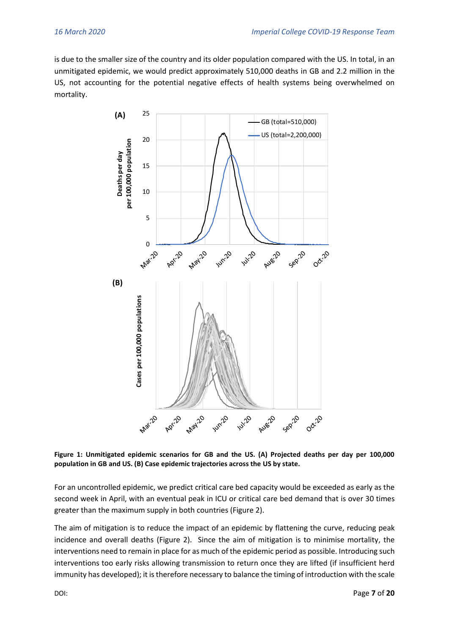is due to the smaller size of the country and its older population compared with the US. In total, in an unmitigated epidemic, we would predict approximately 510,000 deaths in GB and 2.2 million in the US, not accounting for the potential negative effects of health systems being overwhelmed on mortality.



**Figure 1: Unmitigated epidemic scenarios for GB and the US. (A) Projected deaths per day per 100,000 population in GB and US. (B) Case epidemic trajectories across the US by state.** 

For an uncontrolled epidemic, we predict critical care bed capacity would be exceeded as early as the second week in April, with an eventual peak in ICU or critical care bed demand that is over 30 times greater than the maximum supply in both countries (Figure 2).

The aim of mitigation is to reduce the impact of an epidemic by flattening the curve, reducing peak incidence and overall deaths (Figure 2). Since the aim of mitigation is to minimise mortality, the interventions need to remain in place for as much of the epidemic period as possible. Introducing such interventions too early risks allowing transmission to return once they are lifted (if insufficient herd immunity has developed); it is therefore necessary to balance the timing of introduction with the scale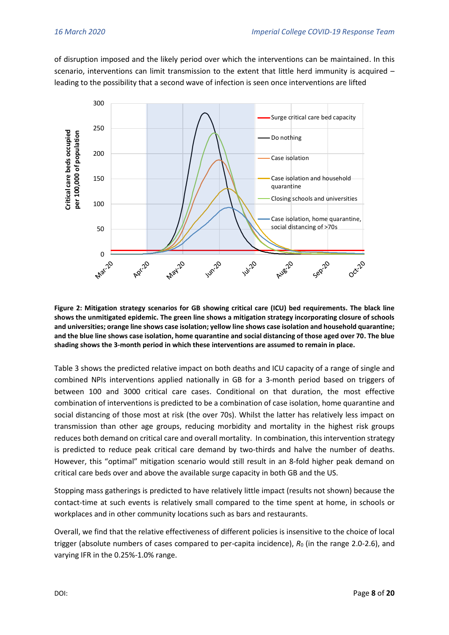of disruption imposed and the likely period over which the interventions can be maintained. In this scenario, interventions can limit transmission to the extent that little herd immunity is acquired – leading to the possibility that a second wave of infection is seen once interventions are lifted



**Figure 2: Mitigation strategy scenarios for GB showing critical care (ICU) bed requirements. The black line shows the unmitigated epidemic. The green line shows a mitigation strategy incorporating closure of schools and universities; orange line shows case isolation; yellow line shows case isolation and household quarantine; and the blue line shows case isolation, home quarantine and social distancing of those aged over 70. The blue shading shows the 3-month period in which these interventions are assumed to remain in place.** 

Table 3 shows the predicted relative impact on both deaths and ICU capacity of a range of single and combined NPIs interventions applied nationally in GB for a 3-month period based on triggers of between 100 and 3000 critical care cases. Conditional on that duration, the most effective combination of interventions is predicted to be a combination of case isolation, home quarantine and social distancing of those most at risk (the over 70s). Whilst the latter has relatively less impact on transmission than other age groups, reducing morbidity and mortality in the highest risk groups reduces both demand on critical care and overall mortality. In combination, this intervention strategy is predicted to reduce peak critical care demand by two-thirds and halve the number of deaths. However, this "optimal" mitigation scenario would still result in an 8-fold higher peak demand on critical care beds over and above the available surge capacity in both GB and the US.

Stopping mass gatherings is predicted to have relatively little impact (results not shown) because the contact-time at such events is relatively small compared to the time spent at home, in schools or workplaces and in other community locations such as bars and restaurants.

Overall, we find that the relative effectiveness of different policies is insensitive to the choice of local trigger (absolute numbers of cases compared to per-capita incidence),  $R_0$  (in the range 2.0-2.6), and varying IFR in the 0.25%-1.0% range.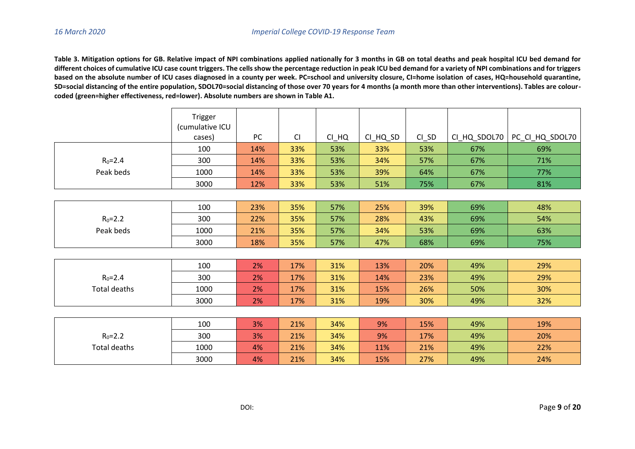**Table 3. Mitigation options for GB. Relative impact of NPI combinations applied nationally for 3 months in GB on total deaths and peak hospital ICU bed demand for**  different choices of cumulative ICU case count triggers. The cells show the percentage reduction in peak ICU bed demand for a variety of NPI combinations and for triggers **based on the absolute number of ICU cases diagnosed in a county per week. PC=school and university closure, CI=home isolation of cases, HQ=household quarantine, SD=social distancing of the entire population, SDOL70=social distancing of those over 70 years for 4 months (a month more than other interventions). Tables are colourcoded (green=higher effectiveness, red=lower). Absolute numbers are shown in Table A1.** 

|                     | Trigger         |           |           |         |          |         |              |                 |
|---------------------|-----------------|-----------|-----------|---------|----------|---------|--------------|-----------------|
|                     | (cumulative ICU |           |           |         |          |         |              |                 |
|                     | cases)          | <b>PC</b> | <b>CI</b> | $CI_HQ$ | CI_HQ_SD | $CI$ SD | CI_HQ_SDOL70 | PC_CI_HQ_SDOL70 |
|                     | 100             | 14%       | 33%       | 53%     | 33%      | 53%     | 67%          | 69%             |
| $R_0 = 2.4$         | 300             | 14%       | 33%       | 53%     | 34%      | 57%     | 67%          | 71%             |
| Peak beds           | 1000            | 14%       | 33%       | 53%     | 39%      | 64%     | 67%          | 77%             |
|                     | 3000            | 12%       | 33%       | 53%     | 51%      | 75%     | 67%          | 81%             |
|                     |                 |           |           |         |          |         |              |                 |
|                     | 100             | 23%       | 35%       | 57%     | 25%      | 39%     | 69%          | 48%             |
| $R_0 = 2.2$         | 300             | 22%       | 35%       | 57%     | 28%      | 43%     | 69%          | 54%             |
| Peak beds           | 1000            | 21%       | 35%       | 57%     | 34%      | 53%     | 69%          | 63%             |
|                     | 3000            | 18%       | 35%       | 57%     | 47%      | 68%     | 69%          | 75%             |
|                     |                 |           |           |         |          |         |              |                 |
|                     | 100             | 2%        | 17%       | 31%     | 13%      | 20%     | 49%          | 29%             |
| $R_0 = 2.4$         | 300             | 2%        | 17%       | 31%     | 14%      | 23%     | 49%          | 29%             |
| <b>Total deaths</b> | 1000            | 2%        | 17%       | 31%     | 15%      | 26%     | 50%          | 30%             |
|                     | 3000            | 2%        | 17%       | 31%     | 19%      | 30%     | 49%          | 32%             |
|                     |                 |           |           |         |          |         |              |                 |
|                     | 100             | 3%        | 21%       | 34%     | 9%       | 15%     | 49%          | 19%             |
| $R_0 = 2.2$         | 300             | 3%        | 21%       | 34%     | 9%       | 17%     | 49%          | 20%             |
| <b>Total deaths</b> | 1000            | 4%        | 21%       | 34%     | 11%      | 21%     | 49%          | 22%             |
|                     | 3000            | 4%        | 21%       | 34%     | 15%      | 27%     | 49%          | 24%             |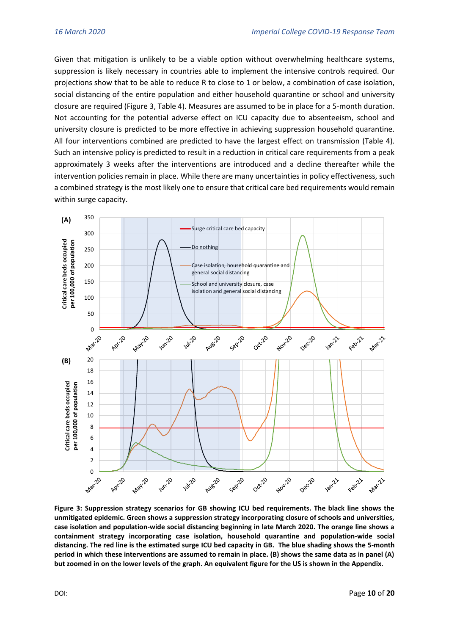Given that mitigation is unlikely to be a viable option without overwhelming healthcare systems, suppression is likely necessary in countries able to implement the intensive controls required. Our projections show that to be able to reduce R to close to 1 or below, a combination of case isolation, social distancing of the entire population and either household quarantine or school and university closure are required (Figure 3, Table 4). Measures are assumed to be in place for a 5-month duration. Not accounting for the potential adverse effect on ICU capacity due to absenteeism, school and university closure is predicted to be more effective in achieving suppression household quarantine. All four interventions combined are predicted to have the largest effect on transmission (Table 4). Such an intensive policy is predicted to result in a reduction in critical care requirements from a peak approximately 3 weeks after the interventions are introduced and a decline thereafter while the intervention policies remain in place. While there are many uncertainties in policy effectiveness, such a combined strategy is the most likely one to ensure that critical care bed requirements would remain within surge capacity.



**Figure 3: Suppression strategy scenarios for GB showing ICU bed requirements. The black line shows the unmitigated epidemic. Green shows a suppression strategy incorporating closure of schools and universities, case isolation and population-wide social distancing beginning in late March 2020. The orange line shows a containment strategy incorporating case isolation, household quarantine and population-wide social distancing. The red line is the estimated surge ICU bed capacity in GB. The blue shading shows the 5-month period in which these interventions are assumed to remain in place. (B) shows the same data as in panel (A) but zoomed in on the lower levels of the graph. An equivalent figure for the US is shown in the Appendix.**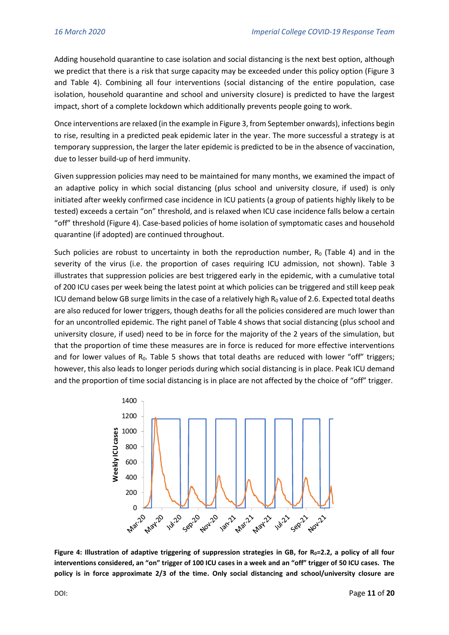Adding household quarantine to case isolation and social distancing is the next best option, although we predict that there is a risk that surge capacity may be exceeded under this policy option (Figure 3 and Table 4). Combining all four interventions (social distancing of the entire population, case isolation, household quarantine and school and university closure) is predicted to have the largest impact, short of a complete lockdown which additionally prevents people going to work.

Once interventions are relaxed (in the example in Figure 3, from September onwards), infections begin to rise, resulting in a predicted peak epidemic later in the year. The more successful a strategy is at temporary suppression, the larger the later epidemic is predicted to be in the absence of vaccination, due to lesser build-up of herd immunity.

Given suppression policies may need to be maintained for many months, we examined the impact of an adaptive policy in which social distancing (plus school and university closure, if used) is only initiated after weekly confirmed case incidence in ICU patients (a group of patients highly likely to be tested) exceeds a certain "on" threshold, and is relaxed when ICU case incidence falls below a certain "off" threshold (Figure 4). Case-based policies of home isolation of symptomatic cases and household quarantine (if adopted) are continued throughout.

Such policies are robust to uncertainty in both the reproduction number,  $R_0$  (Table 4) and in the severity of the virus (i.e. the proportion of cases requiring ICU admission, not shown). Table 3 illustrates that suppression policies are best triggered early in the epidemic, with a cumulative total of 200 ICU cases per week being the latest point at which policies can be triggered and still keep peak ICU demand below GB surge limits in the case of a relatively high  $R_0$  value of 2.6. Expected total deaths are also reduced for lower triggers, though deaths for all the policies considered are much lower than for an uncontrolled epidemic. The right panel of Table 4 shows that social distancing (plus school and university closure, if used) need to be in force for the majority of the 2 years of the simulation, but that the proportion of time these measures are in force is reduced for more effective interventions and for lower values of  $R_0$ . Table 5 shows that total deaths are reduced with lower "off" triggers; however, this also leads to longer periods during which social distancing is in place. Peak ICU demand and the proportion of time social distancing is in place are not affected by the choice of "off" trigger.



**Figure 4: Illustration of adaptive triggering of suppression strategies in GB, for R0=2.2, a policy of all four interventions considered, an "on" trigger of 100 ICU cases in a week and an "off" trigger of 50 ICU cases. The policy is in force approximate 2/3 of the time. Only social distancing and school/university closure are**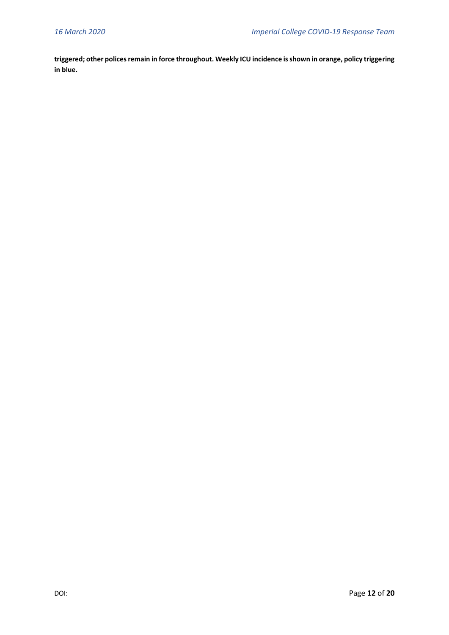**triggered; other polices remain in force throughout. Weekly ICU incidence is shown in orange, policy triggering in blue.**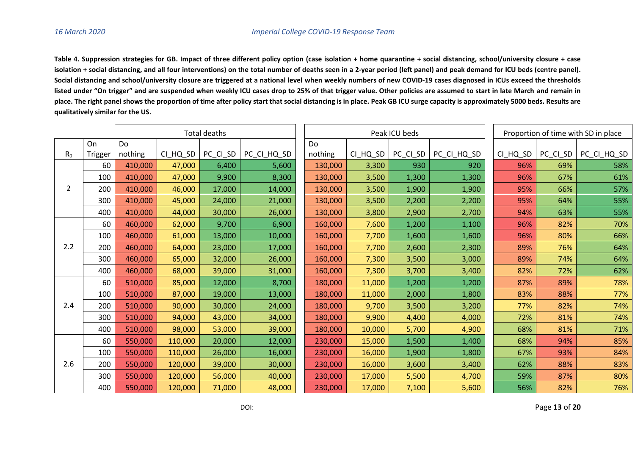**Table 4. Suppression strategies for GB. Impact of three different policy option (case isolation + home quarantine + social distancing, school/university closure + case isolation + social distancing, and all four interventions) on the total number of deaths seen in a 2-year period (left panel) and peak demand for ICU beds (centre panel). Social distancing and school/university closure are triggered at a national level when weekly numbers of new COVID-19 cases diagnosed in ICUs exceed the thresholds listed under "On trigger" and are suspended when weekly ICU cases drop to 25% of that trigger value. Other policies are assumed to start in late March and remain in place. The right panel shows the proportion of time after policy start that social distancing is in place. Peak GB ICU surge capacity is approximately 5000 beds. Results are qualitatively similar for the US.**

|                |         | Total deaths |          |          |             | Peak ICU beds |          |          |             | Proportion of time with SD in place |          |             |
|----------------|---------|--------------|----------|----------|-------------|---------------|----------|----------|-------------|-------------------------------------|----------|-------------|
|                | On      | Do           |          |          |             | Do            |          |          |             |                                     |          |             |
| R <sub>0</sub> | Trigger | nothing      | CI HQ SD | PC_CI_SD | PC CI HQ SD | nothing       | CI_HQ_SD | PC CI SD | PC_CI_HQ_SD | CI HQ SD                            | PC_CI_SD | PC_CI_HQ_SD |
| 2              | 60      | 410,000      | 47,000   | 6,400    | 5,600       | 130,000       | 3,300    | 930      | 920         | 96%                                 | 69%      | 58%         |
|                | 100     | 410,000      | 47,000   | 9,900    | 8,300       | 130,000       | 3,500    | 1,300    | 1,300       | 96%                                 | 67%      | 61%         |
|                | 200     | 410,000      | 46,000   | 17,000   | 14,000      | 130,000       | 3,500    | 1,900    | 1,900       | 95%                                 | 66%      | 57%         |
|                | 300     | 410,000      | 45,000   | 24,000   | 21,000      | 130,000       | 3,500    | 2,200    | 2,200       | 95%                                 | 64%      | 55%         |
|                | 400     | 410,000      | 44,000   | 30,000   | 26,000      | 130,000       | 3,800    | 2,900    | 2,700       | 94%                                 | 63%      | 55%         |
|                | 60      | 460,000      | 62,000   | 9,700    | 6,900       | 160,000       | 7,600    | 1,200    | 1,100       | 96%                                 | 82%      | 70%         |
|                | 100     | 460,000      | 61,000   | 13,000   | 10,000      | 160,000       | 7,700    | 1,600    | 1,600       | 96%                                 | 80%      | 66%         |
| 2.2            | 200     | 460,000      | 64,000   | 23,000   | 17,000      | 160,000       | 7,700    | 2,600    | 2,300       | 89%                                 | 76%      | 64%         |
|                | 300     | 460,000      | 65,000   | 32,000   | 26,000      | 160,000       | 7,300    | 3,500    | 3,000       | 89%                                 | 74%      | 64%         |
|                | 400     | 460,000      | 68,000   | 39,000   | 31,000      | 160,000       | 7,300    | 3,700    | 3,400       | 82%                                 | 72%      | 62%         |
|                | 60      | 510,000      | 85,000   | 12,000   | 8,700       | 180,000       | 11,000   | 1,200    | 1,200       | 87%                                 | 89%      | 78%         |
|                | 100     | 510,000      | 87,000   | 19,000   | 13,000      | 180,000       | 11,000   | 2,000    | 1,800       | 83%                                 | 88%      | 77%         |
| 2.4            | 200     | 510,000      | 90,000   | 30,000   | 24,000      | 180,000       | 9,700    | 3,500    | 3,200       | 77%                                 | 82%      | 74%         |
|                | 300     | 510,000      | 94,000   | 43,000   | 34,000      | 180,000       | 9,900    | 4,400    | 4,000       | 72%                                 | 81%      | 74%         |
|                | 400     | 510,000      | 98,000   | 53,000   | 39,000      | 180,000       | 10,000   | 5,700    | 4,900       | 68%                                 | 81%      | 71%         |
|                | 60      | 550,000      | 110,000  | 20,000   | 12,000      | 230,000       | 15,000   | 1,500    | 1,400       | 68%                                 | 94%      | 85%         |
|                | 100     | 550,000      | 110,000  | 26,000   | 16,000      | 230,000       | 16,000   | 1,900    | 1,800       | 67%                                 | 93%      | 84%         |
| 2.6            | 200     | 550,000      | 120,000  | 39,000   | 30,000      | 230,000       | 16,000   | 3,600    | 3,400       | 62%                                 | 88%      | 83%         |
|                | 300     | 550,000      | 120,000  | 56,000   | 40,000      | 230,000       | 17,000   | 5,500    | 4,700       | 59%                                 | 87%      | 80%         |
|                | 400     | 550,000      | 120,000  | 71,000   | 48,000      | 230,000       | 17,000   | 7,100    | 5,600       | 56%                                 | 82%      | 76%         |

DOI: Page **13** of **20**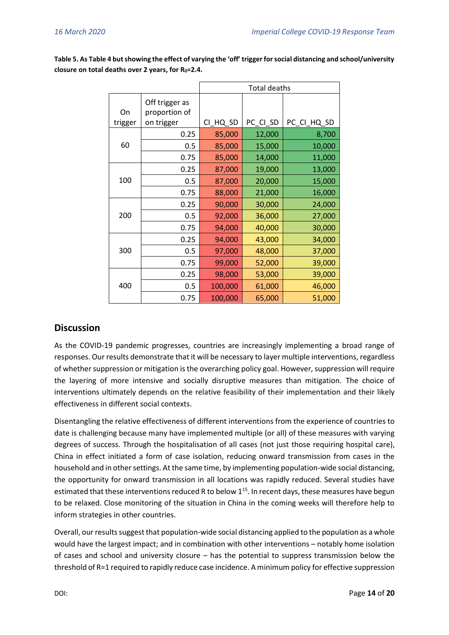|         |                                 | <b>Total deaths</b> |          |             |  |  |  |
|---------|---------------------------------|---------------------|----------|-------------|--|--|--|
| On      | Off trigger as<br>proportion of |                     |          |             |  |  |  |
| trigger | on trigger                      | CI_HQ_SD            | PC_CI_SD | PC_CI_HQ_SD |  |  |  |
|         | 0.25                            | 85,000              | 12,000   | 8,700       |  |  |  |
| 60      | 0.5                             | 85,000              | 15,000   | 10,000      |  |  |  |
|         | 0.75                            | 85,000              | 14,000   | 11,000      |  |  |  |
|         | 0.25                            | 87,000              | 19,000   | 13,000      |  |  |  |
| 100     | 0.5                             | 87,000              | 20,000   | 15,000      |  |  |  |
|         | 0.75                            | 88,000              | 21,000   | 16,000      |  |  |  |
| 200     | 0.25                            | 90,000              | 30,000   | 24,000      |  |  |  |
|         | 0.5                             | 92,000              | 36,000   | 27,000      |  |  |  |
|         | 0.75                            | 94,000              | 40,000   | 30,000      |  |  |  |
|         | 0.25                            | 94,000              | 43,000   | 34,000      |  |  |  |
| 300     | 0.5                             | 97,000              | 48,000   | 37,000      |  |  |  |
|         | 0.75                            | 99,000              | 52,000   | 39,000      |  |  |  |
| 400     | 0.25                            | 98,000              | 53,000   | 39,000      |  |  |  |
|         | 0.5                             | 100,000             | 61,000   | 46,000      |  |  |  |
|         | 0.75                            | 100,000             | 65,000   | 51,000      |  |  |  |

**Table 5. As Table 4 but showing the effect of varying the 'off' trigger for social distancing and school/university closure on total deaths over 2 years, for R0=2.4.**

## **Discussion**

As the COVID-19 pandemic progresses, countries are increasingly implementing a broad range of responses. Our results demonstrate that it will be necessary to layer multiple interventions, regardless of whether suppression or mitigation is the overarching policy goal. However, suppression will require the layering of more intensive and socially disruptive measures than mitigation. The choice of interventions ultimately depends on the relative feasibility of their implementation and their likely effectiveness in different social contexts.

Disentangling the relative effectiveness of different interventions from the experience of countries to date is challenging because many have implemented multiple (or all) of these measures with varying degrees of success. Through the hospitalisation of all cases (not just those requiring hospital care), China in effect initiated a form of case isolation, reducing onward transmission from cases in the household and in other settings. At the same time, by implementing population-wide social distancing, the opportunity for onward transmission in all locations was rapidly reduced. Several studies have estimated that these interventions reduced R to below  $1^{15}$ . In recent days, these measures have begun to be relaxed. Close monitoring of the situation in China in the coming weeks will therefore help to inform strategies in other countries.

Overall, our results suggestthat population-wide social distancing applied to the population as a whole would have the largest impact; and in combination with other interventions – notably home isolation of cases and school and university closure – has the potential to suppress transmission below the threshold of R=1 required to rapidly reduce case incidence. A minimum policy for effective suppression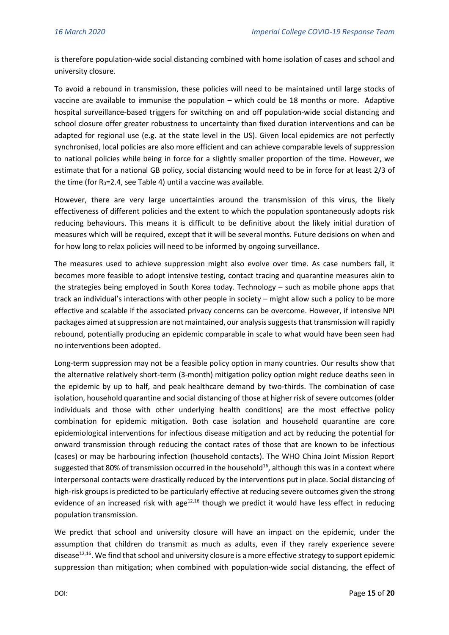is therefore population-wide social distancing combined with home isolation of cases and school and university closure.

To avoid a rebound in transmission, these policies will need to be maintained until large stocks of vaccine are available to immunise the population – which could be 18 months or more. Adaptive hospital surveillance-based triggers for switching on and off population-wide social distancing and school closure offer greater robustness to uncertainty than fixed duration interventions and can be adapted for regional use (e.g. at the state level in the US). Given local epidemics are not perfectly synchronised, local policies are also more efficient and can achieve comparable levels of suppression to national policies while being in force for a slightly smaller proportion of the time. However, we estimate that for a national GB policy, social distancing would need to be in force for at least 2/3 of the time (for  $R_0$ =2.4, see Table 4) until a vaccine was available.

However, there are very large uncertainties around the transmission of this virus, the likely effectiveness of different policies and the extent to which the population spontaneously adopts risk reducing behaviours. This means it is difficult to be definitive about the likely initial duration of measures which will be required, except that it will be several months. Future decisions on when and for how long to relax policies will need to be informed by ongoing surveillance.

The measures used to achieve suppression might also evolve over time. As case numbers fall, it becomes more feasible to adopt intensive testing, contact tracing and quarantine measures akin to the strategies being employed in South Korea today. Technology – such as mobile phone apps that track an individual's interactions with other people in society – might allow such a policy to be more effective and scalable if the associated privacy concerns can be overcome. However, if intensive NPI packages aimed at suppression are not maintained, our analysis suggests that transmission will rapidly rebound, potentially producing an epidemic comparable in scale to what would have been seen had no interventions been adopted.

Long-term suppression may not be a feasible policy option in many countries. Our results show that the alternative relatively short-term (3-month) mitigation policy option might reduce deaths seen in the epidemic by up to half, and peak healthcare demand by two-thirds. The combination of case isolation, household quarantine and social distancing of those at higher risk of severe outcomes (older individuals and those with other underlying health conditions) are the most effective policy combination for epidemic mitigation. Both case isolation and household quarantine are core epidemiological interventions for infectious disease mitigation and act by reducing the potential for onward transmission through reducing the contact rates of those that are known to be infectious (cases) or may be harbouring infection (household contacts). The WHO China Joint Mission Report suggested that 80% of transmission occurred in the household<sup>16</sup>, although this was in a context where interpersonal contacts were drastically reduced by the interventions put in place. Social distancing of high-risk groups is predicted to be particularly effective at reducing severe outcomes given the strong evidence of an increased risk with age $12,16$  though we predict it would have less effect in reducing population transmission.

We predict that school and university closure will have an impact on the epidemic, under the assumption that children do transmit as much as adults, even if they rarely experience severe disease<sup>12,16</sup>. We find that school and university closure is a more effective strategy to support epidemic suppression than mitigation; when combined with population-wide social distancing, the effect of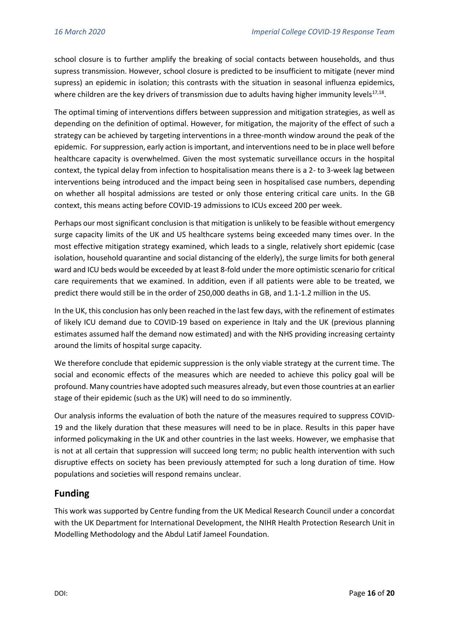school closure is to further amplify the breaking of social contacts between households, and thus supress transmission. However, school closure is predicted to be insufficient to mitigate (never mind supress) an epidemic in isolation; this contrasts with the situation in seasonal influenza epidemics, where children are the key drivers of transmission due to adults having higher immunity levels $^{17,18}$ .

The optimal timing of interventions differs between suppression and mitigation strategies, as well as depending on the definition of optimal. However, for mitigation, the majority of the effect of such a strategy can be achieved by targeting interventions in a three-month window around the peak of the epidemic. For suppression, early action is important, and interventions need to be in place well before healthcare capacity is overwhelmed. Given the most systematic surveillance occurs in the hospital context, the typical delay from infection to hospitalisation means there is a 2- to 3-week lag between interventions being introduced and the impact being seen in hospitalised case numbers, depending on whether all hospital admissions are tested or only those entering critical care units. In the GB context, this means acting before COVID-19 admissions to ICUs exceed 200 per week.

Perhaps our most significant conclusion is that mitigation is unlikely to be feasible without emergency surge capacity limits of the UK and US healthcare systems being exceeded many times over. In the most effective mitigation strategy examined, which leads to a single, relatively short epidemic (case isolation, household quarantine and social distancing of the elderly), the surge limits for both general ward and ICU beds would be exceeded by at least 8-fold under the more optimistic scenario for critical care requirements that we examined. In addition, even if all patients were able to be treated, we predict there would still be in the order of 250,000 deaths in GB, and 1.1-1.2 million in the US.

In the UK, this conclusion has only been reached in the last few days, with the refinement of estimates of likely ICU demand due to COVID-19 based on experience in Italy and the UK (previous planning estimates assumed half the demand now estimated) and with the NHS providing increasing certainty around the limits of hospital surge capacity.

We therefore conclude that epidemic suppression is the only viable strategy at the current time. The social and economic effects of the measures which are needed to achieve this policy goal will be profound. Many countries have adopted such measures already, but even those countries at an earlier stage of their epidemic (such as the UK) will need to do so imminently.

Our analysis informs the evaluation of both the nature of the measures required to suppress COVID-19 and the likely duration that these measures will need to be in place. Results in this paper have informed policymaking in the UK and other countries in the last weeks. However, we emphasise that is not at all certain that suppression will succeed long term; no public health intervention with such disruptive effects on society has been previously attempted for such a long duration of time. How populations and societies will respond remains unclear.

## **Funding**

This work was supported by Centre funding from the UK Medical Research Council under a concordat with the UK Department for International Development, the NIHR Health Protection Research Unit in Modelling Methodology and the Abdul Latif Jameel Foundation.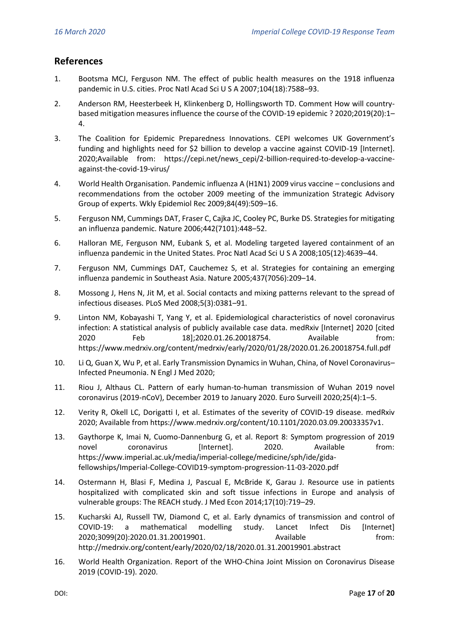## **References**

- 1. Bootsma MCJ, Ferguson NM. The effect of public health measures on the 1918 influenza pandemic in U.S. cities. Proc Natl Acad Sci U S A 2007;104(18):7588–93.
- 2. Anderson RM, Heesterbeek H, Klinkenberg D, Hollingsworth TD. Comment How will countrybased mitigation measures influence the course of the COVID-19 epidemic ? 2020;2019(20):1– 4.
- 3. The Coalition for Epidemic Preparedness Innovations. CEPI welcomes UK Government's funding and highlights need for \$2 billion to develop a vaccine against COVID-19 [Internet]. 2020;Available from: https://cepi.net/news\_cepi/2-billion-required-to-develop-a-vaccineagainst-the-covid-19-virus/
- 4. World Health Organisation. Pandemic influenza A (H1N1) 2009 virus vaccine conclusions and recommendations from the october 2009 meeting of the immunization Strategic Advisory Group of experts. Wkly Epidemiol Rec 2009;84(49):509–16.
- 5. Ferguson NM, Cummings DAT, Fraser C, Cajka JC, Cooley PC, Burke DS. Strategies for mitigating an influenza pandemic. Nature 2006;442(7101):448–52.
- 6. Halloran ME, Ferguson NM, Eubank S, et al. Modeling targeted layered containment of an influenza pandemic in the United States. Proc Natl Acad Sci U S A 2008;105(12):4639–44.
- 7. Ferguson NM, Cummings DAT, Cauchemez S, et al. Strategies for containing an emerging influenza pandemic in Southeast Asia. Nature 2005;437(7056):209–14.
- 8. Mossong J, Hens N, Jit M, et al. Social contacts and mixing patterns relevant to the spread of infectious diseases. PLoS Med 2008;5(3):0381–91.
- 9. Linton NM, Kobayashi T, Yang Y, et al. Epidemiological characteristics of novel coronavirus infection: A statistical analysis of publicly available case data. medRxiv [Internet] 2020 [cited 2020 Feb 18];2020.01.26.20018754. Available from: https://www.medrxiv.org/content/medrxiv/early/2020/01/28/2020.01.26.20018754.full.pdf
- 10. Li Q, Guan X, Wu P, et al. Early Transmission Dynamics in Wuhan, China, of Novel Coronavirus– Infected Pneumonia. N Engl J Med 2020;
- 11. Riou J, Althaus CL. Pattern of early human-to-human transmission of Wuhan 2019 novel coronavirus (2019-nCoV), December 2019 to January 2020. Euro Surveill 2020;25(4):1–5.
- 12. Verity R, Okell LC, Dorigatti I, et al. Estimates of the severity of COVID-19 disease. medRxiv 2020; Available from https://www.medrxiv.org/content/10.1101/2020.03.09.20033357v1.
- 13. Gaythorpe K, Imai N, Cuomo-Dannenburg G, et al. Report 8: Symptom progression of 2019 novel coronavirus [Internet]. 2020. Available from: https://www.imperial.ac.uk/media/imperial-college/medicine/sph/ide/gidafellowships/Imperial-College-COVID19-symptom-progression-11-03-2020.pdf
- 14. Ostermann H, Blasi F, Medina J, Pascual E, McBride K, Garau J. Resource use in patients hospitalized with complicated skin and soft tissue infections in Europe and analysis of vulnerable groups: The REACH study. J Med Econ 2014;17(10):719–29.
- 15. Kucharski AJ, Russell TW, Diamond C, et al. Early dynamics of transmission and control of COVID-19: a mathematical modelling study. Lancet Infect Dis [Internet] 2020;3099(20):2020.01.31.20019901. Available from: http://medrxiv.org/content/early/2020/02/18/2020.01.31.20019901.abstract
- 16. World Health Organization. Report of the WHO-China Joint Mission on Coronavirus Disease 2019 (COVID-19). 2020.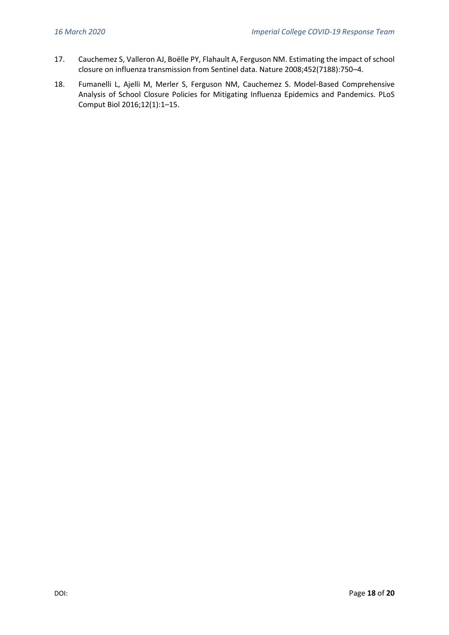- 17. Cauchemez S, Valleron AJ, Boëlle PY, Flahault A, Ferguson NM. Estimating the impact of school closure on influenza transmission from Sentinel data. Nature 2008;452(7188):750–4.
- 18. Fumanelli L, Ajelli M, Merler S, Ferguson NM, Cauchemez S. Model-Based Comprehensive Analysis of School Closure Policies for Mitigating Influenza Epidemics and Pandemics. PLoS Comput Biol 2016;12(1):1–15.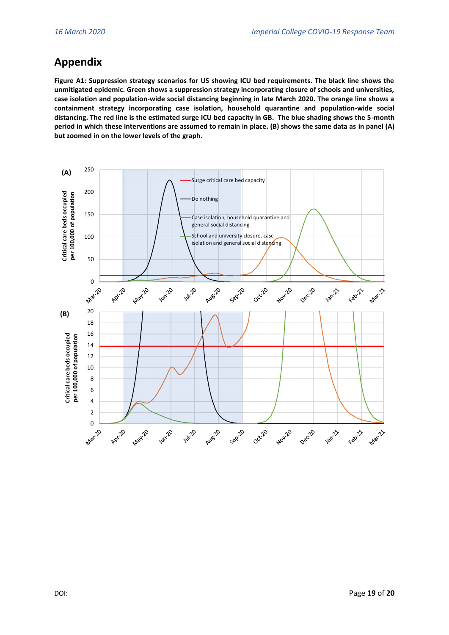## **Appendix**

**Figure A1: Suppression strategy scenarios for US showing ICU bed requirements. The black line shows the unmitigated epidemic. Green shows a suppression strategy incorporating closure of schools and universities, case isolation and population-wide social distancing beginning in late March 2020. The orange line shows a containment strategy incorporating case isolation, household quarantine and population-wide social distancing. The red line is the estimated surge ICU bed capacity in GB. The blue shading shows the 5-month period in which these interventions are assumed to remain in place. (B) shows the same data as in panel (A) but zoomed in on the lower levels of the graph.**